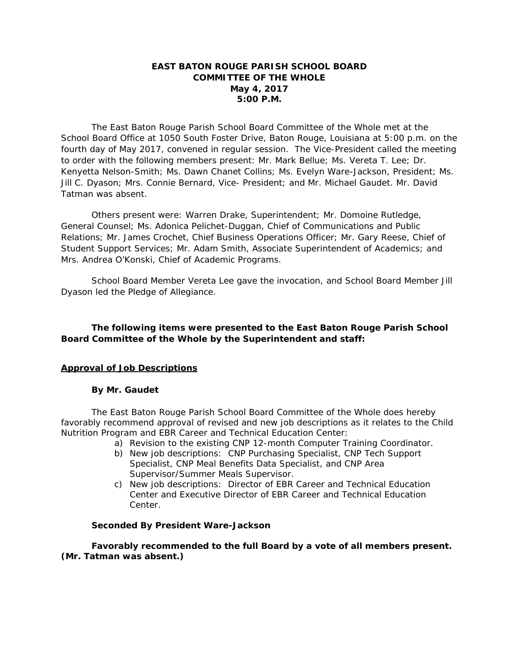# **EAST BATON ROUGE PARISH SCHOOL BOARD COMMITTEE OF THE WHOLE May 4, 2017 5:00 P.M.**

The East Baton Rouge Parish School Board Committee of the Whole met at the School Board Office at 1050 South Foster Drive, Baton Rouge, Louisiana at 5:00 p.m. on the fourth day of May 2017, convened in regular session. The Vice-President called the meeting to order with the following members present: Mr. Mark Bellue; Ms. Vereta T. Lee; Dr. Kenyetta Nelson-Smith; Ms. Dawn Chanet Collins; Ms. Evelyn Ware-Jackson, President; Ms. Jill C. Dyason; Mrs. Connie Bernard, Vice- President; and Mr. Michael Gaudet. Mr. David Tatman was absent.

Others present were: Warren Drake, Superintendent; Mr. Domoine Rutledge, General Counsel; Ms. Adonica Pelichet-Duggan, Chief of Communications and Public Relations; Mr. James Crochet, Chief Business Operations Officer; Mr. Gary Reese, Chief of Student Support Services; Mr. Adam Smith, Associate Superintendent of Academics; and Mrs. Andrea O'Konski, Chief of Academic Programs.

School Board Member Vereta Lee gave the invocation, and School Board Member Jill Dyason led the Pledge of Allegiance.

# **The following items were presented to the East Baton Rouge Parish School Board Committee of the Whole by the Superintendent and staff:**

## **Approval of Job Descriptions**

## **By Mr. Gaudet**

The East Baton Rouge Parish School Board Committee of the Whole does hereby favorably recommend approval of revised and new job descriptions as it relates to the Child Nutrition Program and EBR Career and Technical Education Center:

- a) Revision to the existing CNP 12-month Computer Training Coordinator.
	- b) New job descriptions: CNP Purchasing Specialist, CNP Tech Support Specialist, CNP Meal Benefits Data Specialist, and CNP Area Supervisor/Summer Meals Supervisor.
	- c) New job descriptions: Director of EBR Career and Technical Education Center and Executive Director of EBR Career and Technical Education Center.

## **Seconded By President Ware-Jackson**

**Favorably recommended to the full Board by a vote of all members present. (Mr. Tatman was absent.)**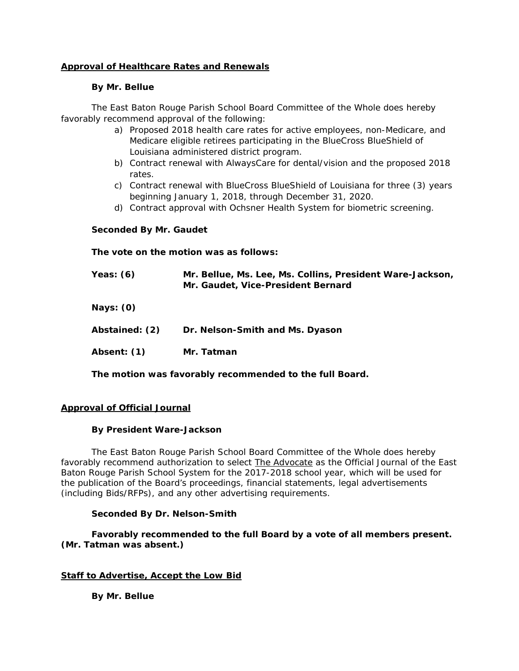# **Approval of Healthcare Rates and Renewals**

### **By Mr. Bellue**

The East Baton Rouge Parish School Board Committee of the Whole does hereby favorably recommend approval of the following:

- a) Proposed 2018 health care rates for active employees, non-Medicare, and Medicare eligible retirees participating in the BlueCross BlueShield of Louisiana administered district program.
- b) Contract renewal with AlwaysCare for dental/vision and the proposed 2018 rates.
- c) Contract renewal with BlueCross BlueShield of Louisiana for three (3) years beginning January 1, 2018, through December 31, 2020.
- d) Contract approval with Ochsner Health System for biometric screening.

## **Seconded By Mr. Gaudet**

**The vote on the motion was as follows:** 

 **Yeas: (6) Mr. Bellue, Ms. Lee, Ms. Collins, President Ware-Jackson, Mr. Gaudet, Vice-President Bernard** 

 **Nays: (0)** 

| Abstained: (2) | Dr. Nelson-Smith and Ms. Dyason |
|----------------|---------------------------------|
|                |                                 |

 **Absent: (1) Mr. Tatman** 

**The motion was favorably recommended to the full Board.** 

## **Approval of Official Journal**

## **By President Ware-Jackson**

The East Baton Rouge Parish School Board Committee of the Whole does hereby favorably recommend authorization to select The Advocate as the Official Journal of the East Baton Rouge Parish School System for the 2017-2018 school year, which will be used for the publication of the Board's proceedings, financial statements, legal advertisements (including Bids/RFPs), and any other advertising requirements.

## **Seconded By Dr. Nelson-Smith**

**Favorably recommended to the full Board by a vote of all members present. (Mr. Tatman was absent.)** 

## **Staff to Advertise, Accept the Low Bid**

 **By Mr. Bellue**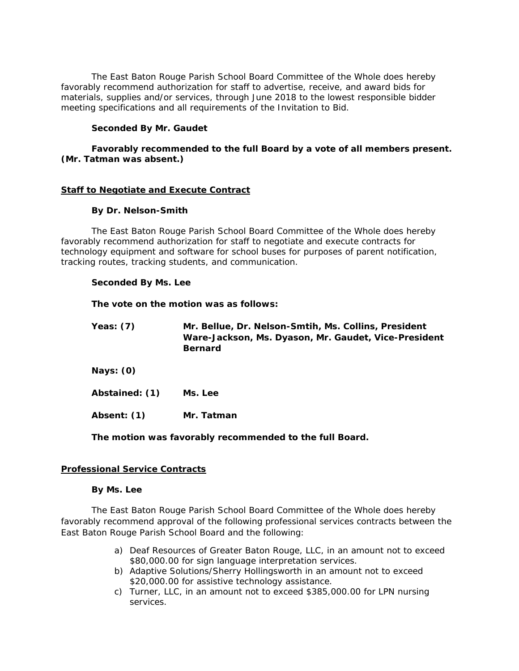The East Baton Rouge Parish School Board Committee of the Whole does hereby favorably recommend authorization for staff to advertise, receive, and award bids for materials, supplies and/or services, through June 2018 to the lowest responsible bidder meeting specifications and all requirements of the Invitation to Bid.

### **Seconded By Mr. Gaudet**

## **Favorably recommended to the full Board by a vote of all members present. (Mr. Tatman was absent.)**

#### **Staff to Negotiate and Execute Contract**

### **By Dr. Nelson-Smith**

The East Baton Rouge Parish School Board Committee of the Whole does hereby favorably recommend authorization for staff to negotiate and execute contracts for technology equipment and software for school buses for purposes of parent notification, tracking routes, tracking students, and communication.

#### **Seconded By Ms. Lee**

**The vote on the motion was as follows:** 

| Yeas: $(7)$    | Mr. Bellue, Dr. Nelson-Smtih, Ms. Collins, President<br>Ware-Jackson, Ms. Dyason, Mr. Gaudet, Vice-President<br><b>Bernard</b> |
|----------------|--------------------------------------------------------------------------------------------------------------------------------|
| Nays: $(0)$    |                                                                                                                                |
| Abstained: (1) | Ms. Lee                                                                                                                        |
| Absent: (1)    | Mr. Tatman                                                                                                                     |

**The motion was favorably recommended to the full Board.** 

#### **Professional Service Contracts**

#### **By Ms. Lee**

The East Baton Rouge Parish School Board Committee of the Whole does hereby favorably recommend approval of the following professional services contracts between the East Baton Rouge Parish School Board and the following:

- a) Deaf Resources of Greater Baton Rouge, LLC, in an amount not to exceed \$80,000.00 for sign language interpretation services.
- b) Adaptive Solutions/Sherry Hollingsworth in an amount not to exceed \$20,000.00 for assistive technology assistance.
- c) Turner, LLC, in an amount not to exceed \$385,000.00 for LPN nursing services.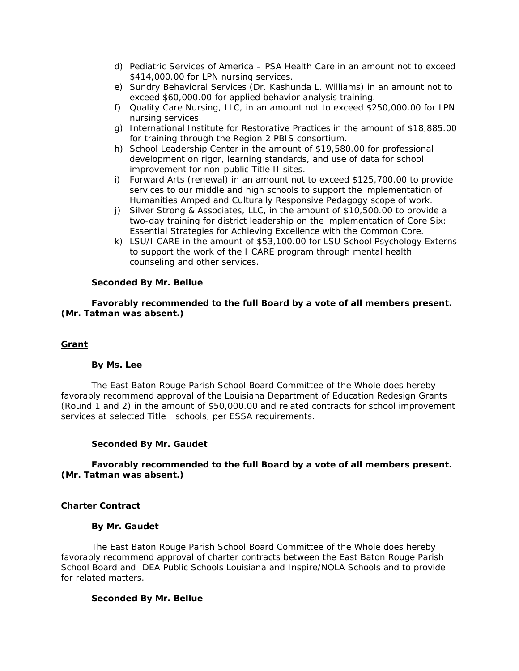- d) Pediatric Services of America PSA Health Care in an amount not to exceed \$414,000.00 for LPN nursing services.
- e) Sundry Behavioral Services (Dr. Kashunda L. Williams) in an amount not to exceed \$60,000.00 for applied behavior analysis training.
- f) Quality Care Nursing, LLC, in an amount not to exceed \$250,000.00 for LPN nursing services.
- g) International Institute for Restorative Practices in the amount of \$18,885.00 for training through the Region 2 PBIS consortium.
- h) School Leadership Center in the amount of \$19,580.00 for professional development on rigor, learning standards, and use of data for school improvement for non-public Title II sites.
- i) Forward Arts (renewal) in an amount not to exceed \$125,700.00 to provide services to our middle and high schools to support the implementation of Humanities Amped and Culturally Responsive Pedagogy scope of work.
- j) Silver Strong & Associates, LLC, in the amount of \$10,500.00 to provide a two-day training for district leadership on the implementation of *Core Six: Essential Strategies for Achieving Excellence with the Common Core.*
- k) LSU/I CARE in the amount of \$53,100.00 for LSU School Psychology Externs to support the work of the I CARE program through mental health counseling and other services.

### **Seconded By Mr. Bellue**

**Favorably recommended to the full Board by a vote of all members present. (Mr. Tatman was absent.)** 

#### **Grant**

#### **By Ms. Lee**

The East Baton Rouge Parish School Board Committee of the Whole does hereby favorably recommend approval of the Louisiana Department of Education Redesign Grants (Round 1 and 2) in the amount of \$50,000.00 and related contracts for school improvement services at selected Title I schools, per ESSA requirements.

#### **Seconded By Mr. Gaudet**

## **Favorably recommended to the full Board by a vote of all members present. (Mr. Tatman was absent.)**

#### **Charter Contract**

## **By Mr. Gaudet**

The East Baton Rouge Parish School Board Committee of the Whole does hereby favorably recommend approval of charter contracts between the East Baton Rouge Parish School Board and IDEA Public Schools Louisiana and Inspire/NOLA Schools and to provide for related matters.

#### **Seconded By Mr. Bellue**